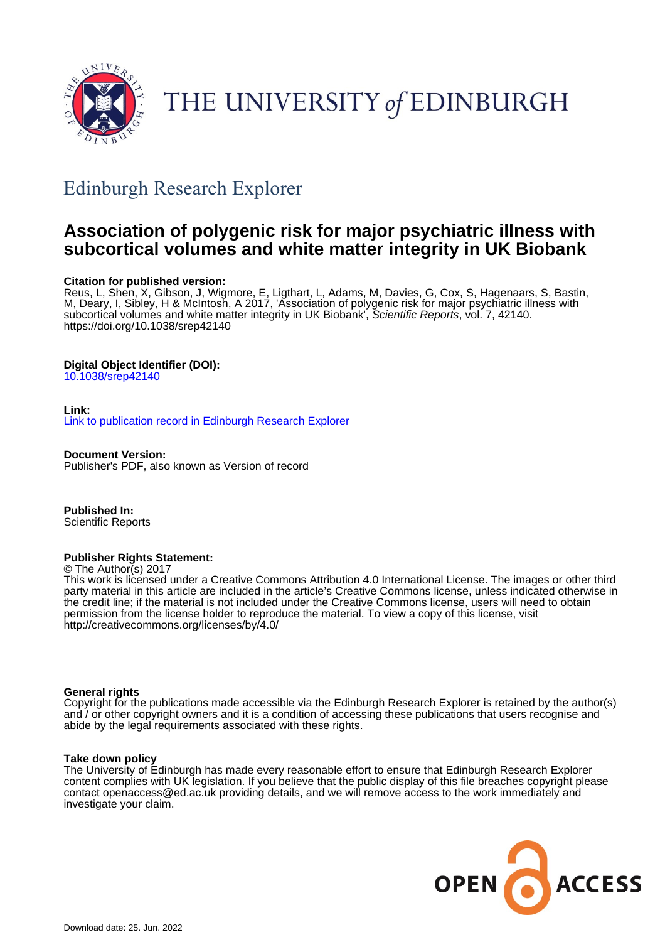

# THE UNIVERSITY of EDINBURGH

## Edinburgh Research Explorer

## **Association of polygenic risk for major psychiatric illness with subcortical volumes and white matter integrity in UK Biobank**

## **Citation for published version:**

Reus, L, Shen, X, Gibson, J, Wigmore, E, Ligthart, L, Adams, M, Davies, G, Cox, S, Hagenaars, S, Bastin, M, Deary, I, Sibley, H & McIntosh, A 2017, 'Association of polygenic risk for major psychiatric illness with subcortical volumes and white matter integrity in UK Biobank', Scientific Reports, vol. 7, 42140. <https://doi.org/10.1038/srep42140>

## **Digital Object Identifier (DOI):**

[10.1038/srep42140](https://doi.org/10.1038/srep42140)

## **Link:**

[Link to publication record in Edinburgh Research Explorer](https://www.research.ed.ac.uk/en/publications/4c4bc686-5b32-4883-ba3d-1569dd427635)

**Document Version:** Publisher's PDF, also known as Version of record

**Published In:** Scientific Reports

## **Publisher Rights Statement:**

© The Author(s) 2017

This work is licensed under a Creative Commons Attribution 4.0 International License. The images or other third party material in this article are included in the article's Creative Commons license, unless indicated otherwise in the credit line; if the material is not included under the Creative Commons license, users will need to obtain permission from the license holder to reproduce the material. To view a copy of this license, visit http://creativecommons.org/licenses/by/4.0/

## **General rights**

Copyright for the publications made accessible via the Edinburgh Research Explorer is retained by the author(s) and / or other copyright owners and it is a condition of accessing these publications that users recognise and abide by the legal requirements associated with these rights.

## **Take down policy**

The University of Edinburgh has made every reasonable effort to ensure that Edinburgh Research Explorer content complies with UK legislation. If you believe that the public display of this file breaches copyright please contact openaccess@ed.ac.uk providing details, and we will remove access to the work immediately and investigate your claim.

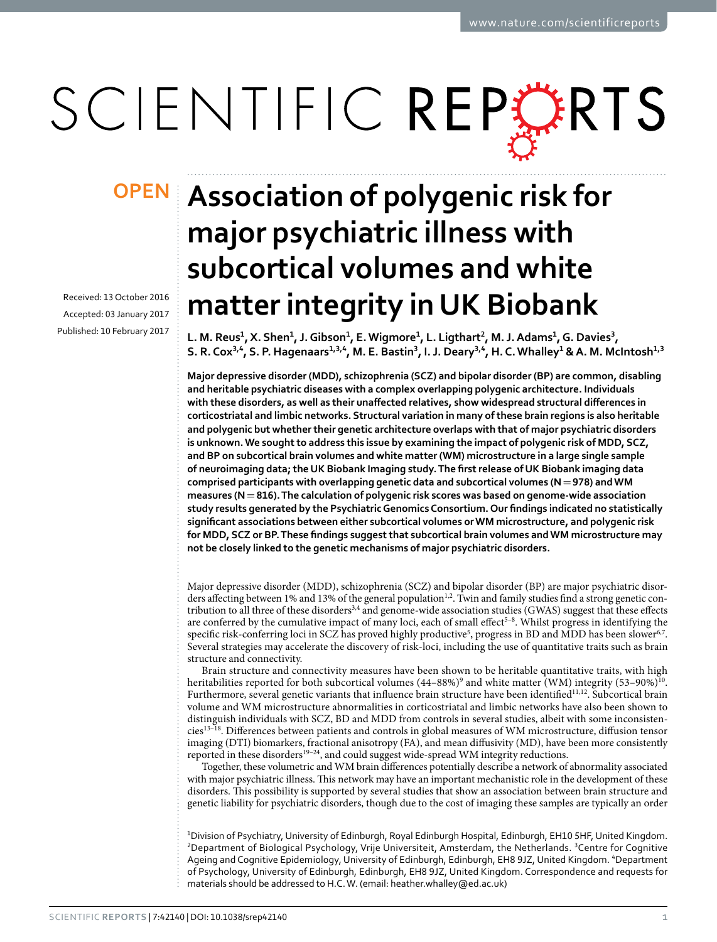# SCIENTIFIC REPERTS

Received: 13 October 2016 accepted: 03 January 2017 Published: 10 February 2017

# **Association of polygenic risk for OPENmajor psychiatric illness with subcortical volumes and white matter integrity in UK Biobank**

L. M. Reus<sup>1</sup>, X. Shen<sup>1</sup>, J. Gibson<sup>1</sup>, E. Wigmore<sup>1</sup>, L. Ligthart<sup>2</sup>, M. J. Adams<sup>1</sup>, G. Davies<sup>3</sup>, S. R. Cox<sup>3,4</sup>, S. P. Hagenaars<sup>1,3,4</sup>, M. E. Bastin<sup>3</sup>, I. J. Deary<sup>3,4</sup>, H. C. Whalley<sup>1</sup> & A. M. McIntosh<sup>1,3</sup>

**Major depressive disorder (MDD), schizophrenia (SCZ) and bipolar disorder (BP) are common, disabling and heritable psychiatric diseases with a complex overlapping polygenic architecture. Individuals with these disorders, as well as their unaffected relatives, show widespread structural differences in corticostriatal and limbic networks. Structural variation in many of these brain regions is also heritable and polygenic but whether their genetic architecture overlaps with that of major psychiatric disorders is unknown. We sought to address this issue by examining the impact of polygenic risk of MDD, SCZ, and BP on subcortical brain volumes and white matter (WM) microstructure in a large single sample of neuroimaging data; the UK Biobank Imaging study. The first release of UK Biobank imaging data comprised participants with overlapping genetic data and subcortical volumes (N=978) and WM measures (N=816). The calculation of polygenic risk scores was based on genome-wide association study results generated by the Psychiatric Genomics Consortium. Our findings indicated no statistically significant associations between either subcortical volumes or WM microstructure, and polygenic risk for MDD, SCZ or BP. These findings suggest that subcortical brain volumes and WM microstructure may not be closely linked to the genetic mechanisms of major psychiatric disorders.**

Major depressive disorder (MDD), schizophrenia (SCZ) and bipolar disorder (BP) are major psychiatric disor-ders affecting between 1% and 13% of the general population<sup>1[,2](#page-6-1)</sup>. Twin and family studies find a strong genetic con-tribution to all three of these disorders<sup>3[,4](#page-6-3)</sup> and genome-wide association studies (GWAS) suggest that these effects are conferred by the cumulative impact of many loci, each of small effect<sup>5-8</sup>. Whilst progress in identifying the specific risk-conferring loci in SCZ has proved highly productive<sup>[5](#page-6-4)</sup>, progress in BD and MDD has been slower<sup>[6](#page-6-5),7</sup>. Several strategies may accelerate the discovery of risk-loci, including the use of quantitative traits such as brain structure and connectivity.

Brain structure and connectivity measures have been shown to be heritable quantitative traits, with high heritabilities reported for both subcortical volumes (44–88%)<sup>[9](#page-6-7)</sup> and white matter (WM) integrity (53–90%)<sup>10</sup>. Furthermore, several genetic variants that influence brain structure have been identified<sup>11,12</sup>. Subcortical brain volume and WM microstructure abnormalities in corticostriatal and limbic networks have also been shown to distinguish individuals with SCZ, BD and MDD from controls in several studies, albeit with some inconsistencie[s13–18.](#page-6-11) Differences between patients and controls in global measures of WM microstructure, diffusion tensor imaging (DTI) biomarkers, fractional anisotropy (FA), and mean diffusivity (MD), have been more consistently reported in these disorders<sup>19–24</sup>, and could suggest wide-spread WM integrity reductions.

Together, these volumetric and WM brain differences potentially describe a network of abnormality associated with major psychiatric illness. This network may have an important mechanistic role in the development of these disorders. This possibility is supported by several studies that show an association between brain structure and genetic liability for psychiatric disorders, though due to the cost of imaging these samples are typically an order

1 Division of Psychiatry, University of Edinburgh, Royal Edinburgh Hospital, Edinburgh, EH10 5HF, United Kingdom. <sup>2</sup>Department of Biological Psychology, Vrije Universiteit, Amsterdam, the Netherlands. <sup>3</sup>Centre for Cognitive Ageing and Cognitive Epidemiology, University of Edinburgh, Edinburgh, EH8 9JZ, United Kingdom. <sup>4</sup>Department of Psychology, University of Edinburgh, Edinburgh, EH8 9JZ, United Kingdom. Correspondence and requests for materials should be addressed to H.C. W. (email: [heather.whalley@ed.ac.uk\)](mailto:heather.whalley@ed.ac.uk)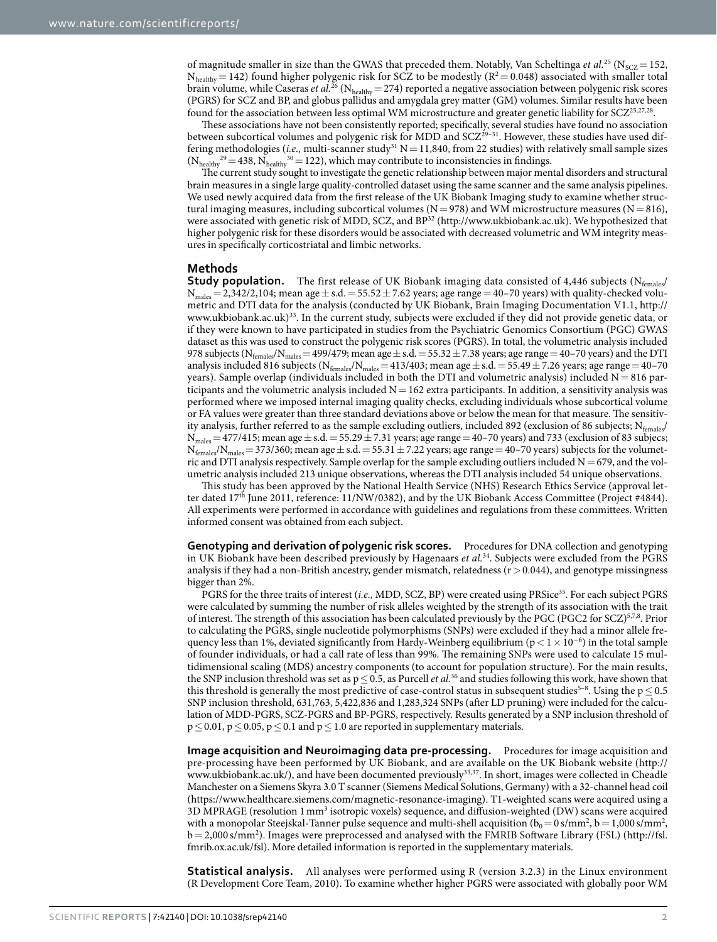of magnitude smaller in size than the GWAS that preceded them. Notably, Van Scheltinga *et al.*<sup>[25](#page-7-1)</sup> (N<sub>SCZ</sub> = 152,  $N_{\text{healthy}} = 142$ ) found higher polygenic risk for SCZ to be modestly ( $R^2 = 0.048$ ) associated with smaller total brain volume, while Caseras *et al.*<sup>26</sup> (N<sub>healthy</sub> = 274) reported a negative association between polygenic risk scores (PGRS) for SCZ and BP, and globus pallidus and amygdala grey matter (GM) volumes. Similar results have been found for the association between less optimal WM microstructure and greater genetic liability for SCZ<sup>25,[27,](#page-7-3)28</sup>.

These associations have not been consistently reported; specifically, several studies have found no association between subcortical volumes and polygenic risk for MDD and SCZ<sup>29-31</sup>. However, these studies have used differing methodologies (*i.e.*, multi-scanner study<sup>[31](#page-7-6)</sup> N = 11,840, from 22 studies) with relatively small sample sizes  $(N_{\text{hedthy}}^{29} = 438, N_{\text{hedthy}}^{30} = 122)$  $(N_{\text{hedthy}}^{29} = 438, N_{\text{hedthy}}^{30} = 122)$  $(N_{\text{hedthy}}^{29} = 438, N_{\text{hedthy}}^{30} = 122)$ , which may contribute to inconsistencies in findings.

The current study sought to investigate the genetic relationship between major mental disorders and structural brain measures in a single large quality-controlled dataset using the same scanner and the same analysis pipelines. We used newly acquired data from the first release of the UK Biobank Imaging study to examine whether structural imaging measures, including subcortical volumes ( $N = 978$ ) and WM microstructure measures ( $N = 816$ ), were associated with genetic risk of MDD, SCZ, and BP<sup>32</sup> [\(http://www.ukbiobank.ac.uk\)](http://www.ukbiobank.ac.uk). We hypothesized that higher polygenic risk for these disorders would be associated with decreased volumetric and WM integrity measures in specifically corticostriatal and limbic networks.

## **Methods**

**Study population.** The first release of UK Biobank imaging data consisted of 4,446 subjects (N<sub>females</sub>/  $N_{males}= 2,342/2,104$ ; mean age  $\pm$  s.d.  $= 55.52 \pm 7.62$  years; age range  $= 40-70$  years) with quality-checked volumetric and DTI data for the analysis (conducted by UK Biobank, Brain Imaging Documentation V1.1, [http://](http://www.ukbiobank.ac.uk) [www.ukbiobank.ac.uk](http://www.ukbiobank.ac.uk))<sup>33</sup>. In the current study, subjects were excluded if they did not provide genetic data, or if they were known to have participated in studies from the Psychiatric Genomics Consortium (PGC) GWAS dataset as this was used to construct the polygenic risk scores (PGRS). In total, the volumetric analysis included 978 subjects ( $N_{\text{females}}/N_{\text{males}} = 499/479$ ; mean age  $\pm$  s.d.  $= 55.32 \pm 7.38$  years; age range  $= 40-70$  years) and the DTI analysis included 816 subjects ( $N_{\text{females}}/N_{\text{males}} = 413/403$ ; mean age  $\pm$  s.d. = 55.49  $\pm$  7.26 years; age range = 40–70 years). Sample overlap (individuals included in both the DTI and volumetric analysis) included N= 816 participants and the volumetric analysis included  $N = 162$  extra participants. In addition, a sensitivity analysis was performed where we imposed internal imaging quality checks, excluding individuals whose subcortical volume or FA values were greater than three standard deviations above or below the mean for that measure. The sensitivity analysis, further referred to as the sample excluding outliers, included 892 (exclusion of 86 subjects;  $N_{\text{femals}}/$  $N_{\text{males}} = 477/415$ ; mean age  $\pm$  s.d.  $= 55.29 \pm 7.31$  years; age range  $= 40$ –70 years) and 733 (exclusion of 83 subjecs;  $N_{\text{females}}/N_{\text{males}}=373/360$ ; mean age  $\pm$  s.d.  $=55.31\pm7.22$  years; age range  $=40-70$  years) subjects for the volumetric and DTI analysis respectively. Sample overlap for the sample excluding outliers included  $N = 679$ , and the volumetric analysis included 213 unique observations, whereas the DTI analysis included 54 unique observations.

This study has been approved by the National Health Service (NHS) Research Ethics Service (approval letter dated 17th June 2011, reference: 11/NW/0382), and by the UK Biobank Access Committee (Project #4844). All experiments were performed in accordance with guidelines and regulations from these committees. Written informed consent was obtained from each subject.

**Genotyping and derivation of polygenic risk scores.** Procedures for DNA collection and genotyping in UK Biobank have been described previously by Hagenaars *et al.*[34.](#page-7-10) Subjects were excluded from the PGRS analysis if they had a non-British ancestry, gender mismatch, relatedness  $(r > 0.044)$ , and genotype missingness bigger than 2%.

PGRS for the three traits of interest (*i.e.*, MDD, SCZ, BP) were created using PRSice<sup>35</sup>. For each subject PGRS were calculated by summing the number of risk alleles weighted by the strength of its association with the trait of interest. The strength of this association has been calculated previously by the PGC (PGC2 for SCZ)[5,](#page-6-4)[7](#page-6-6)[,8](#page-6-12). Prior to calculating the PGRS, single nucleotide polymorphisms (SNPs) were excluded if they had a minor allele frequency less than 1%, deviated significantly from Hardy-Weinberg equilibrium ( $p < 1 \times 10^{-6}$ ) in the total sample of founder individuals, or had a call rate of less than 99%. The remaining SNPs were used to calculate 15 multidimensional scaling (MDS) ancestry components (to account for population structure). For the main results, the SNP inclusion threshold was set as  $p \le 0.5$ , as Purcell *et al.*<sup>[36](#page-7-12)</sup> and studies following this work, have shown that this threshold is generally the most predictive of case-control status in subsequent studies<sup>5–8</sup>. Using the  $p \le 0.5$ SNP inclusion threshold, 631,763, 5,422,836 and 1,283,324 SNPs (after LD pruning) were included for the calculation of MDD-PGRS, SCZ-PGRS and BP-PGRS, respectively. Results generated by a SNP inclusion threshold of  $p \le 0.01$ ,  $p \le 0.05$ ,  $p \le 0.1$  and  $p \le 1.0$  are reported in supplementary materials.

**Image acquisition and Neuroimaging data pre-processing.** Procedures for image acquisition and pre-processing have been performed by UK Biobank, and are available on the UK Biobank website ([http://](http://www.ukbiobank.ac.uk/) [www.ukbiobank.ac.uk/](http://www.ukbiobank.ac.uk/)), and have been documented previousl[y33](#page-7-9)[,37.](#page-7-13) In short, images were collected in Cheadle Manchester on a Siemens Skyra 3.0 T scanner (Siemens Medical Solutions, Germany) with a 32-channel head coil (<https://www.healthcare.siemens.com/magnetic-resonance-imaging>). T1-weighted scans were acquired using a 3D MPRAGE (resolution 1 mm<sup>3</sup> isotropic voxels) sequence, and diffusion-weighted (DW) scans were acquired with a monopolar Steejskal-Tanner pulse sequence and multi-shell acquisition  $(b_0 = 0 \text{ s/mm}^2, b = 1,000 \text{ s/mm}^2,$ b= 2,000 s/mm2 ). Images were preprocessed and analysed with the FMRIB Software Library (FSL) ([http://fsl.](http://fsl.fmrib.ox.ac.uk/fsl) [fmrib.ox.ac.uk/fsl\)](http://fsl.fmrib.ox.ac.uk/fsl). More detailed information is reported in the supplementary materials.

**Statistical analysis.** All analyses were performed using R (version 3.2.3) in the Linux environment (R Development Core Team, 2010). To examine whether higher PGRS were associated with globally poor WM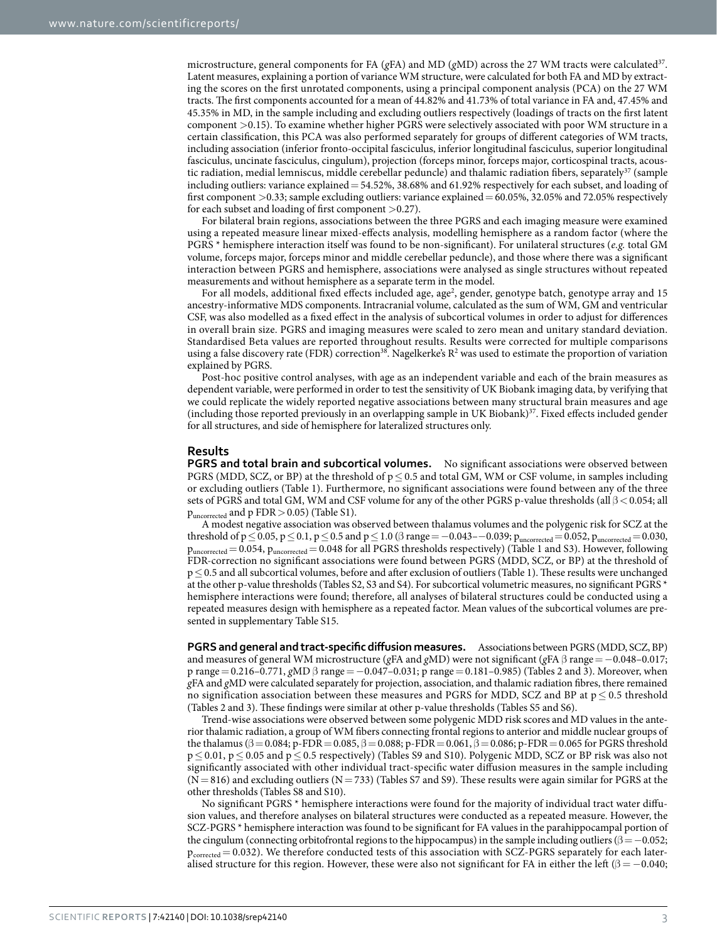microstructure, general components for FA (*g*FA) and MD (*g*MD) across the 27 WM tracts were calculated[37.](#page-7-13) Latent measures, explaining a portion of variance WM structure, were calculated for both FA and MD by extracting the scores on the first unrotated components, using a principal component analysis (PCA) on the 27 WM tracts. The first components accounted for a mean of 44.82% and 41.73% of total variance in FA and, 47.45% and 45.35% in MD, in the sample including and excluding outliers respectively (loadings of tracts on the first latent component >0.15). To examine whether higher PGRS were selectively associated with poor WM structure in a certain classification, this PCA was also performed separately for groups of different categories of WM tracts, including association (inferior fronto-occipital fasciculus, inferior longitudinal fasciculus, superior longitudinal fasciculus, uncinate fasciculus, cingulum), projection (forceps minor, forceps major, corticospinal tracts, acous-tic radiation, medial lemniscus, middle cerebellar peduncle) and thalamic radiation fibers, separately<sup>[37](#page-7-13)</sup> (sample including outliers: variance explained=54.52%, 38.68% and 61.92% respectively for each subset, and loading of first component >0.33; sample excluding outliers: variance explained=60.05%, 32.05% and 72.05% respectively for each subset and loading of first component >0.27).

For bilateral brain regions, associations between the three PGRS and each imaging measure were examined using a repeated measure linear mixed-effects analysis, modelling hemisphere as a random factor (where the PGRS \* hemisphere interaction itself was found to be non-significant). For unilateral structures (*e.g.* total GM volume, forceps major, forceps minor and middle cerebellar peduncle), and those where there was a significant interaction between PGRS and hemisphere, associations were analysed as single structures without repeated measurements and without hemisphere as a separate term in the model.

For all models, additional fixed effects included age, age<sup>2</sup>, gender, genotype batch, genotype array and 15 ancestry-informative MDS components. Intracranial volume, calculated as the sum of WM, GM and ventricular CSF, was also modelled as a fixed effect in the analysis of subcortical volumes in order to adjust for differences in overall brain size. PGRS and imaging measures were scaled to zero mean and unitary standard deviation. Standardised Beta values are reported throughout results. Results were corrected for multiple comparisons using a false discovery rate (FDR) correction<sup>38</sup>. Nagelkerke's  $R^2$  was used to estimate the proportion of variation explained by PGRS.

Post-hoc positive control analyses, with age as an independent variable and each of the brain measures as dependent variable, were performed in order to test the sensitivity of UK Biobank imaging data, by verifying that we could replicate the widely reported negative associations between many structural brain measures and age (including those reported previously in an overlapping sample in UK Biobank)[37](#page-7-13). Fixed effects included gender for all structures, and side of hemisphere for lateralized structures only.

### **Results**

**PGRS and total brain and subcortical volumes.** No significant associations were observed between PGRS (MDD, SCZ, or BP) at the threshold of  $p \le 0.5$  and total GM, WM or CSF volume, in samples including or excluding outliers ([Table 1](#page-4-0)). Furthermore, no significant associations were found between any of the three sets of PGRS and total GM, WM and CSF volume for any of the other PGRS p-value thresholds (all β < 0.054; all puncorrected and p FDR>0.05) (Table S1).

A modest negative association was observed between thalamus volumes and the polygenic risk for SCZ at the threshold of  $p\leq 0.05$ ,  $p\leq 0.1$ ,  $p\leq 0.5$  and  $p\leq 1.0$  ( $\beta$  range = -0.043--0.039;  $p_{uncorrected}=0.052$ ,  $p_{uncorrected}=0.030$ , puncorrected= 0.054, puncorrected= 0.048 for all PGRS thresholds respectively) ([Table 1](#page-4-0) and S3). However, following FDR-correction no significant associations were found between PGRS (MDD, SCZ, or BP) at the threshold of p≤0.5 and all subcortical volumes, before and after exclusion of outliers ([Table 1\)](#page-4-0). These results were unchanged at the other p-value thresholds (Tables S2, S3 and S4). For subcortical volumetric measures, no significant PGRS \* hemisphere interactions were found; therefore, all analyses of bilateral structures could be conducted using a repeated measures design with hemisphere as a repeated factor. Mean values of the subcortical volumes are presented in supplementary Table S15.

**PGRS and general and tract-specific diffusion measures.** Associations between PGRS (MDD, SCZ, BP) and measures of general WM microstructure (*g*FA and *g*MD) were not significant (*g*FA β range=−0.048–0.017; p range= 0.216–0.771, *g*MD β range= −0.047–0.031; p range= 0.181–0.985) [\(Tables 2](#page-5-0) and [3\)](#page-5-1). Moreover, when *g*FA and *g*MD were calculated separately for projection, association, and thalamic radiation fibres, there remained no signification association between these measures and PGRS for MDD, SCZ and BP at  $p \le 0.5$  threshold ([Tables 2](#page-5-0) and [3\)](#page-5-1). These findings were similar at other p-value thresholds (Tables S5 and S6).

Trend-wise associations were observed between some polygenic MDD risk scores and MD values in the anterior thalamic radiation, a group of WM fibers connecting frontal regions to anterior and middle nuclear groups of the thalamus ( $\beta = 0.084$ ; p-FDR = 0.085,  $\beta = 0.088$ ; p-FDR = 0.061,  $\beta = 0.086$ ; p-FDR = 0.065 for PGRS threshold p≤ 0.01, p≤ 0.05 and p≤ 0.5 respectively) (Tables S9 and S10). Polygenic MDD, SCZ or BP risk was also not significantly associated with other individual tract-specific water diffusion measures in the sample including  $(N= 816)$  and excluding outliers  $(N= 733)$  (Tables S7 and S9). These results were again similar for PGRS at the other thresholds (Tables S8 and S10).

No significant PGRS \* hemisphere interactions were found for the majority of individual tract water diffusion values, and therefore analyses on bilateral structures were conducted as a repeated measure. However, the SCZ-PGRS \* hemisphere interaction was found to be significant for FA values in the parahippocampal portion of the cingulum (connecting orbitofrontal regions to the hippocampus) in the sample including outliers ( $\beta = -0.052$ ;  $p_{corrected} = 0.032$ ). We therefore conducted tests of this association with SCZ-PGRS separately for each lateralised structure for this region. However, these were also not significant for FA in either the left ( $\beta = -0.040$ ;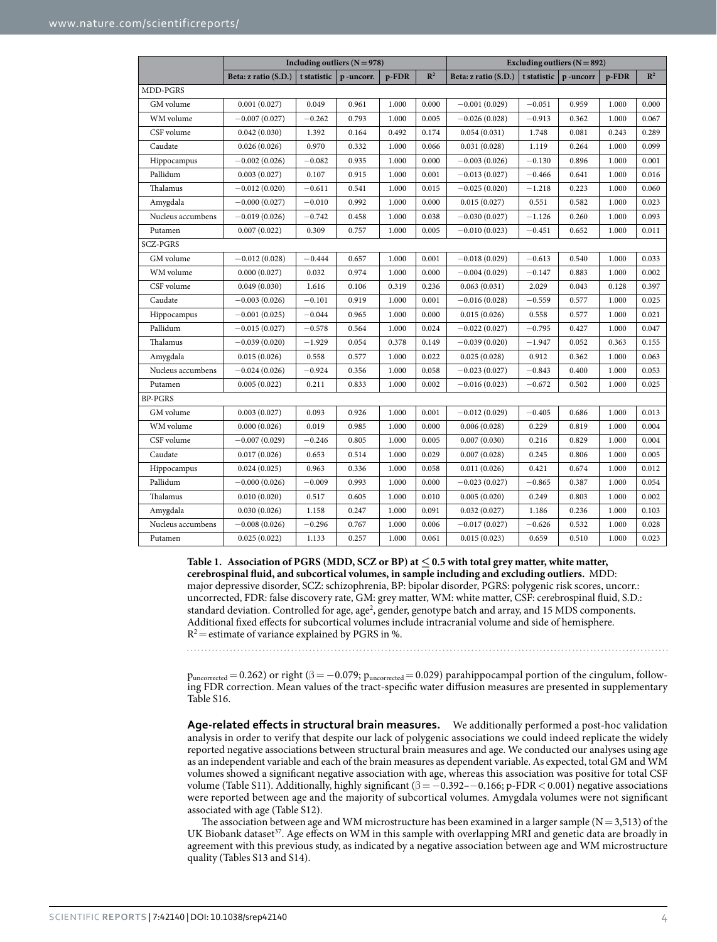<span id="page-4-0"></span>

|                   | Including outliers $(N = 978)$ |             |           |          |                | Excluding outliers $(N = 892)$ |             |          |       |                |
|-------------------|--------------------------------|-------------|-----------|----------|----------------|--------------------------------|-------------|----------|-------|----------------|
|                   | Beta: z ratio (S.D.)           | t statistic | p-uncorr. | $p$ -FDR | $\mathbb{R}^2$ | Beta: z ratio (S.D.)           | t statistic | p-uncorr | p-FDR | $\mathbb{R}^2$ |
| MDD-PGRS          |                                |             |           |          |                |                                |             |          |       |                |
| GM volume         | 0.001(0.027)                   | 0.049       | 0.961     | 1.000    | 0.000          | $-0.001(0.029)$                | $-0.051$    | 0.959    | 1.000 | 0.000          |
| WM volume         | $-0.007(0.027)$                | $-0.262$    | 0.793     | 1.000    | 0.005          | $-0.026(0.028)$                | $-0.913$    | 0.362    | 1.000 | 0.067          |
| CSF volume        | 0.042(0.030)                   | 1.392       | 0.164     | 0.492    | 0.174          | 0.054(0.031)                   | 1.748       | 0.081    | 0.243 | 0.289          |
| Caudate           | 0.026(0.026)                   | 0.970       | 0.332     | 1.000    | 0.066          | 0.031(0.028)                   | 1.119       | 0.264    | 1.000 | 0.099          |
| Hippocampus       | $-0.002(0.026)$                | $-0.082$    | 0.935     | 1.000    | 0.000          | $-0.003(0.026)$                | $-0.130$    | 0.896    | 1.000 | 0.001          |
| Pallidum          | 0.003(0.027)                   | 0.107       | 0.915     | 1.000    | 0.001          | $-0.013(0.027)$                | $-0.466$    | 0.641    | 1.000 | 0.016          |
| Thalamus          | $-0.012(0.020)$                | $-0.611$    | 0.541     | 1.000    | 0.015          | $-0.025(0.020)$                | $-1.218$    | 0.223    | 1.000 | 0.060          |
| Amygdala          | $-0.000(0.027)$                | $-0.010$    | 0.992     | 1.000    | 0.000          | 0.015(0.027)                   | 0.551       | 0.582    | 1.000 | 0.023          |
| Nucleus accumbens | $-0.019(0.026)$                | $-0.742$    | 0.458     | 1.000    | 0.038          | $-0.030(0.027)$                | $-1.126$    | 0.260    | 1.000 | 0.093          |
| Putamen           | 0.007(0.022)                   | 0.309       | 0.757     | 1.000    | 0.005          | $-0.010(0.023)$                | $-0.451$    | 0.652    | 1.000 | 0.011          |
| <b>SCZ-PGRS</b>   |                                |             |           |          |                |                                |             |          |       |                |
| GM volume         | $-0.012(0.028)$                | $-0.444$    | 0.657     | 1.000    | 0.001          | $-0.018(0.029)$                | $-0.613$    | 0.540    | 1.000 | 0.033          |
| WM volume         | 0.000(0.027)                   | 0.032       | 0.974     | 1.000    | 0.000          | $-0.004(0.029)$                | $-0.147$    | 0.883    | 1.000 | 0.002          |
| CSF volume        | 0.049(0.030)                   | 1.616       | 0.106     | 0.319    | 0.236          | 0.063(0.031)                   | 2.029       | 0.043    | 0.128 | 0.397          |
| Caudate           | $-0.003(0.026)$                | $-0.101$    | 0.919     | 1.000    | 0.001          | $-0.016(0.028)$                | $-0.559$    | 0.577    | 1.000 | 0.025          |
| Hippocampus       | $-0.001(0.025)$                | $-0.044$    | 0.965     | 1.000    | 0.000          | 0.015(0.026)                   | 0.558       | 0.577    | 1.000 | 0.021          |
| Pallidum          | $-0.015(0.027)$                | $-0.578$    | 0.564     | 1.000    | 0.024          | $-0.022(0.027)$                | $-0.795$    | 0.427    | 1.000 | 0.047          |
| Thalamus          | $-0.039(0.020)$                | $-1.929$    | 0.054     | 0.378    | 0.149          | $-0.039(0.020)$                | $-1.947$    | 0.052    | 0.363 | 0.155          |
| Amygdala          | 0.015(0.026)                   | 0.558       | 0.577     | 1.000    | 0.022          | 0.025(0.028)                   | 0.912       | 0.362    | 1.000 | 0.063          |
| Nucleus accumbens | $-0.024(0.026)$                | $-0.924$    | 0.356     | 1.000    | 0.058          | $-0.023(0.027)$                | $-0.843$    | 0.400    | 1.000 | 0.053          |
| Putamen           | 0.005(0.022)                   | 0.211       | 0.833     | 1.000    | 0.002          | $-0.016(0.023)$                | $-0.672$    | 0.502    | 1.000 | 0.025          |
| <b>BP-PGRS</b>    |                                |             |           |          |                |                                |             |          |       |                |
| GM volume         | 0.003(0.027)                   | 0.093       | 0.926     | 1.000    | 0.001          | $-0.012(0.029)$                | $-0.405$    | 0.686    | 1.000 | 0.013          |
| WM volume         | 0.000(0.026)                   | 0.019       | 0.985     | 1.000    | 0.000          | 0.006(0.028)                   | 0.229       | 0.819    | 1.000 | 0.004          |
| CSF volume        | $-0.007(0.029)$                | $-0.246$    | 0.805     | 1.000    | 0.005          | 0.007(0.030)                   | 0.216       | 0.829    | 1.000 | 0.004          |
| Caudate           | 0.017(0.026)                   | 0.653       | 0.514     | 1.000    | 0.029          | 0.007(0.028)                   | 0.245       | 0.806    | 1.000 | 0.005          |
| Hippocampus       | 0.024(0.025)                   | 0.963       | 0.336     | 1.000    | 0.058          | 0.011(0.026)                   | 0.421       | 0.674    | 1.000 | 0.012          |
| Pallidum          | $-0.000(0.026)$                | $-0.009$    | 0.993     | 1.000    | 0.000          | $-0.023(0.027)$                | $-0.865$    | 0.387    | 1.000 | 0.054          |
| Thalamus          | 0.010(0.020)                   | 0.517       | 0.605     | 1.000    | 0.010          | 0.005(0.020)                   | 0.249       | 0.803    | 1.000 | 0.002          |
| Amygdala          | 0.030(0.026)                   | 1.158       | 0.247     | 1.000    | 0.091          | 0.032(0.027)                   | 1.186       | 0.236    | 1.000 | 0.103          |
| Nucleus accumbens | $-0.008(0.026)$                | $-0.296$    | 0.767     | 1.000    | 0.006          | $-0.017(0.027)$                | $-0.626$    | 0.532    | 1.000 | 0.028          |
| Putamen           | 0.025(0.022)                   | 1.133       | 0.257     | 1.000    | 0.061          | 0.015(0.023)                   | 0.659       | 0.510    | 1.000 | 0.023          |

**Table 1. Association of PGRS (MDD, SCZ or BP) at ≤0.5 with total grey matter, white matter, cerebrospinal fluid, and subcortical volumes, in sample including and excluding outliers.** MDD: major depressive disorder, SCZ: schizophrenia, BP: bipolar disorder, PGRS: polygenic risk scores, uncorr.: uncorrected, FDR: false discovery rate, GM: grey matter, WM: white matter, CSF: cerebrospinal fluid, S.D.: standard deviation. Controlled for age, age<sup>2</sup>, gender, genotype batch and array, and 15 MDS components. Additional fixed effects for subcortical volumes include intracranial volume and side of hemisphere.  $R^2$  = estimate of variance explained by PGRS in %.

 $p_{uncorrected} = 0.262$ ) or right ( $\beta = -0.079$ ;  $p_{uncorrected} = 0.029$ ) parahippocampal portion of the cingulum, following FDR correction. Mean values of the tract-specific water diffusion measures are presented in supplementary Table S16.

**Age-related effects in structural brain measures.** We additionally performed a post-hoc validation analysis in order to verify that despite our lack of polygenic associations we could indeed replicate the widely reported negative associations between structural brain measures and age. We conducted our analyses using age as an independent variable and each of the brain measures as dependent variable. As expected, total GM and WM volumes showed a significant negative association with age, whereas this association was positive for total CSF volume (Table S11). Additionally, highly significant ( $\beta = -0.392 - 0.166$ ; p-FDR < 0.001) negative associations were reported between age and the majority of subcortical volumes. Amygdala volumes were not significant associated with age (Table S12).

The association between age and WM microstructure has been examined in a larger sample  $(N= 3,513)$  of the UK Biobank dataset<sup>37</sup>. Age effects on WM in this sample with overlapping MRI and genetic data are broadly in agreement with this previous study, as indicated by a negative association between age and WM microstructure quality (Tables S13 and S14).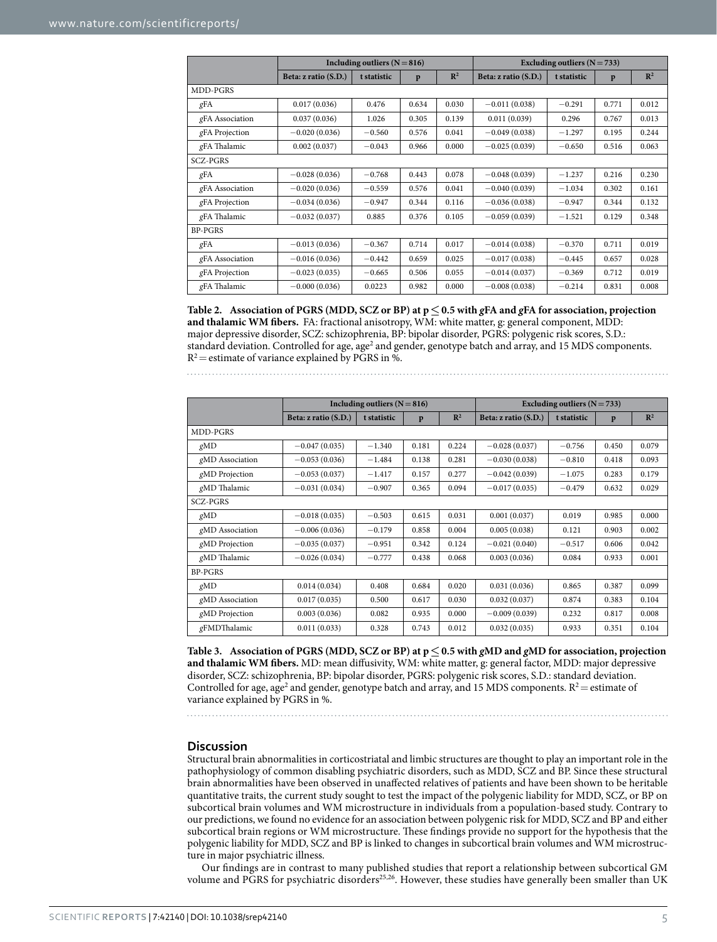<span id="page-5-0"></span>

|                 |                      | Including outliers $(N=816)$ | Excluding outliers $(N = 733)$ |                |                      |             |       |                |  |  |  |
|-----------------|----------------------|------------------------------|--------------------------------|----------------|----------------------|-------------|-------|----------------|--|--|--|
|                 | Beta: z ratio (S.D.) | t statistic                  | p                              | $\mathbb{R}^2$ | Beta: z ratio (S.D.) | t statistic | p     | $\mathbb{R}^2$ |  |  |  |
| MDD-PGRS        |                      |                              |                                |                |                      |             |       |                |  |  |  |
| gFA             | 0.017(0.036)         | 0.476                        | 0.634                          | 0.030          | $-0.011(0.038)$      | $-0.291$    | 0.771 | 0.012          |  |  |  |
| gFA Association | 0.037(0.036)         | 1.026                        | 0.305                          | 0.139          | 0.011(0.039)         | 0.296       | 0.767 | 0.013          |  |  |  |
| gFA Projection  | $-0.020(0.036)$      | $-0.560$                     | 0.576                          | 0.041          | $-0.049(0.038)$      | $-1.297$    | 0.195 | 0.244          |  |  |  |
| gFA Thalamic    | 0.002(0.037)         | $-0.043$                     | 0.966                          | 0.000          | $-0.025(0.039)$      | $-0.650$    | 0.516 | 0.063          |  |  |  |
| SCZ-PGRS        |                      |                              |                                |                |                      |             |       |                |  |  |  |
| gFA             | $-0.028(0.036)$      | $-0.768$                     | 0.443                          | 0.078          | $-0.048(0.039)$      | $-1.237$    | 0.216 | 0.230          |  |  |  |
| gFA Association | $-0.020(0.036)$      | $-0.559$                     | 0.576                          | 0.041          | $-0.040(0.039)$      | $-1.034$    | 0.302 | 0.161          |  |  |  |
| gFA Projection  | $-0.034(0.036)$      | $-0.947$                     | 0.344                          | 0.116          | $-0.036(0.038)$      | $-0.947$    | 0.344 | 0.132          |  |  |  |
| gFA Thalamic    | $-0.032(0.037)$      | 0.885                        | 0.376                          | 0.105          | $-0.059(0.039)$      | $-1.521$    | 0.129 | 0.348          |  |  |  |
| <b>BP-PGRS</b>  |                      |                              |                                |                |                      |             |       |                |  |  |  |
| gFA             | $-0.013(0.036)$      | $-0.367$                     | 0.714                          | 0.017          | $-0.014(0.038)$      | $-0.370$    | 0.711 | 0.019          |  |  |  |
| gFA Association | $-0.016(0.036)$      | $-0.442$                     | 0.659                          | 0.025          | $-0.017(0.038)$      | $-0.445$    | 0.657 | 0.028          |  |  |  |
| gFA Projection  | $-0.023(0.035)$      | $-0.665$                     | 0.506                          | 0.055          | $-0.014(0.037)$      | $-0.369$    | 0.712 | 0.019          |  |  |  |
| gFA Thalamic    | $-0.000(0.036)$      | 0.0223                       | 0.982                          | 0.000          | $-0.008(0.038)$      | $-0.214$    | 0.831 | 0.008          |  |  |  |

**Table 2. Association of PGRS (MDD, SCZ or BP) at p≤0.5 with** *g***FA and** *g***FA for association, projection and thalamic WM fibers.** FA: fractional anisotropy, WM: white matter, g: general component, MDD: major depressive disorder, SCZ: schizophrenia, BP: bipolar disorder, PGRS: polygenic risk scores, S.D.: standard deviation. Controlled for age, age<sup>2</sup> and gender, genotype batch and array, and 15 MDS components.  $R^2$  = estimate of variance explained by PGRS in %.

<span id="page-5-1"></span>

|                 |                      | Including outliers $(N = 816)$ | Excluding outliers $(N = 733)$ |                |                      |             |       |                |  |  |  |
|-----------------|----------------------|--------------------------------|--------------------------------|----------------|----------------------|-------------|-------|----------------|--|--|--|
|                 | Beta: z ratio (S.D.) | t statistic                    | p                              | $\mathbb{R}^2$ | Beta: z ratio (S.D.) | t statistic | p     | $\mathbb{R}^2$ |  |  |  |
| MDD-PGRS        |                      |                                |                                |                |                      |             |       |                |  |  |  |
| gMD             | $-0.047(0.035)$      | $-1.340$                       | 0.181                          | 0.224          | $-0.028(0.037)$      | $-0.756$    | 0.450 | 0.079          |  |  |  |
| gMD Association | $-0.053(0.036)$      | $-1.484$                       | 0.138                          | 0.281          | $-0.030(0.038)$      | $-0.810$    | 0.418 | 0.093          |  |  |  |
| gMD Projection  | $-0.053(0.037)$      | $-1.417$                       | 0.157                          | 0.277          | $-0.042(0.039)$      | $-1.075$    | 0.283 | 0.179          |  |  |  |
| gMD Thalamic    | $-0.031(0.034)$      | $-0.907$                       | 0.365                          | 0.094          | $-0.017(0.035)$      | $-0.479$    | 0.632 | 0.029          |  |  |  |
| SCZ-PGRS        |                      |                                |                                |                |                      |             |       |                |  |  |  |
| gMD             | $-0.018(0.035)$      | $-0.503$                       | 0.615                          | 0.031          | 0.001(0.037)         | 0.019       | 0.985 | 0.000          |  |  |  |
| gMD Association | $-0.006(0.036)$      | $-0.179$                       | 0.858                          | 0.004          | 0.005(0.038)         | 0.121       | 0.903 | 0.002          |  |  |  |
| gMD Projection  | $-0.035(0.037)$      | $-0.951$                       | 0.342                          | 0.124          | $-0.021(0.040)$      | $-0.517$    | 0.606 | 0.042          |  |  |  |
| gMD Thalamic    | $-0.026(0.034)$      | $-0.777$                       | 0.438                          | 0.068          | 0.003(0.036)         | 0.084       | 0.933 | 0.001          |  |  |  |
| <b>BP-PGRS</b>  |                      |                                |                                |                |                      |             |       |                |  |  |  |
| gMD             | 0.014(0.034)         | 0.408                          | 0.684                          | 0.020          | 0.031(0.036)         | 0.865       | 0.387 | 0.099          |  |  |  |
| gMD Association | 0.017(0.035)         | 0.500                          | 0.617                          | 0.030          | 0.032(0.037)         | 0.874       | 0.383 | 0.104          |  |  |  |
| gMD Projection  | 0.003(0.036)         | 0.082                          | 0.935                          | 0.000          | $-0.009(0.039)$      | 0.232       | 0.817 | 0.008          |  |  |  |
| gFMDThalamic    | 0.011(0.033)         | 0.328                          | 0.743                          | 0.012          | 0.032(0.035)         | 0.933       | 0.351 | 0.104          |  |  |  |

**Table 3. Association of PGRS (MDD, SCZ or BP) at p≤0.5 with** *g***MD and** *g***MD for association, projection and thalamic WM fibers.** MD: mean diffusivity, WM: white matter, g: general factor, MDD: major depressive disorder, SCZ: schizophrenia, BP: bipolar disorder, PGRS: polygenic risk scores, S.D.: standard deviation. Controlled for age, age<sup>2</sup> and gender, genotype batch and array, and 15 MDS components.  $R^2$  = estimate of variance explained by PGRS in %.

## **Discussion**

Structural brain abnormalities in corticostriatal and limbic structures are thought to play an important role in the pathophysiology of common disabling psychiatric disorders, such as MDD, SCZ and BP. Since these structural brain abnormalities have been observed in unaffected relatives of patients and have been shown to be heritable quantitative traits, the current study sought to test the impact of the polygenic liability for MDD, SCZ, or BP on subcortical brain volumes and WM microstructure in individuals from a population-based study. Contrary to our predictions, we found no evidence for an association between polygenic risk for MDD, SCZ and BP and either subcortical brain regions or WM microstructure. These findings provide no support for the hypothesis that the polygenic liability for MDD, SCZ and BP is linked to changes in subcortical brain volumes and WM microstructure in major psychiatric illness.

Our findings are in contrast to many published studies that report a relationship between subcortical GM volume and PGRS for psychiatric disorders<sup>25[,26](#page-7-2)</sup>. However, these studies have generally been smaller than UK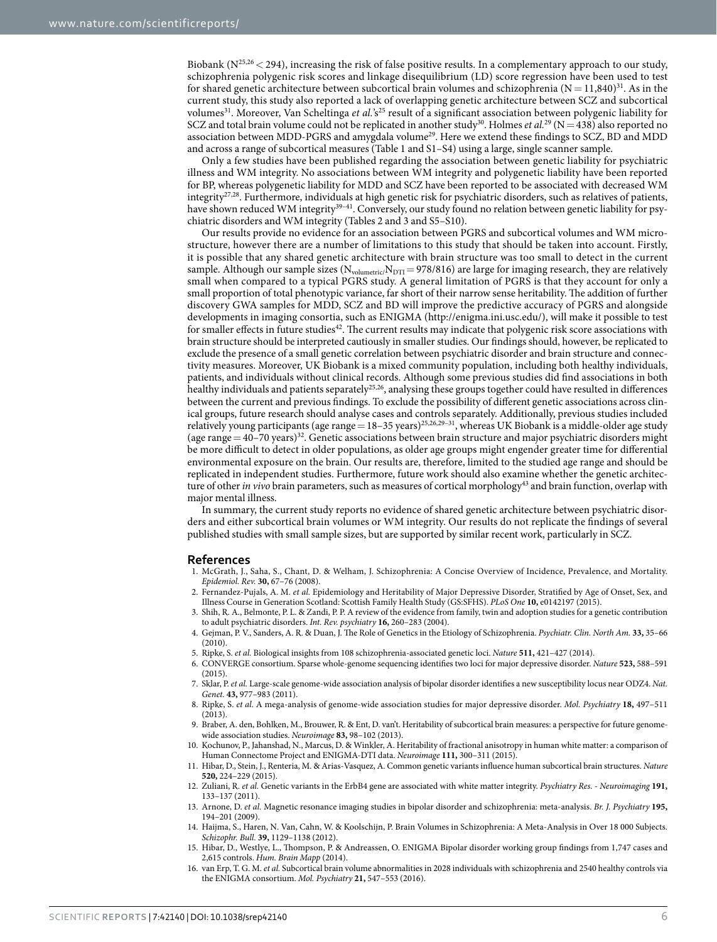Biobank ( $N^{25,26}$  $N^{25,26}$  $N^{25,26}$  < 294), increasing the risk of false positive results. In a complementary approach to our study, schizophrenia polygenic risk scores and linkage disequilibrium (LD) score regression have been used to test for shared genetic architecture between subcortical brain volumes and schizophrenia  $(N= 11,840)^{31}$ . As in the current study, this study also reported a lack of overlapping genetic architecture between SCZ and subcortical volumes<sup>31</sup>. Moreover, Van Scheltinga et al.'s<sup>[25](#page-7-1)</sup> result of a significant association between polygenic liability for SCZ and total brain volume could not be replicated in another study<sup>[30](#page-7-7)</sup>. Holmes *et al.*<sup>29</sup> (N = 438) also reported no association between MDD-PGRS and amygdala volume<sup>29</sup>. Here we extend these findings to SCZ, BD and MDD and across a range of subcortical measures ([Table 1](#page-4-0) and S1–S4) using a large, single scanner sample.

Only a few studies have been published regarding the association between genetic liability for psychiatric illness and WM integrity. No associations between WM integrity and polygenetic liability have been reported for BP, whereas polygenetic liability for MDD and SCZ have been reported to be associated with decreased WM integrity<sup>27,28</sup>. Furthermore, individuals at high genetic risk for psychiatric disorders, such as relatives of patients, have shown reduced WM integrity<sup>39-41</sup>. Conversely, our study found no relation between genetic liability for psychiatric disorders and WM integrity [\(Tables 2](#page-5-0) and [3](#page-5-1) and S5–S10).

Our results provide no evidence for an association between PGRS and subcortical volumes and WM microstructure, however there are a number of limitations to this study that should be taken into account. Firstly, it is possible that any shared genetic architecture with brain structure was too small to detect in the current sample. Although our sample sizes ( $N_{volumetric}/N_{DTI}$ = 978/816) are large for imaging research, they are relatively small when compared to a typical PGRS study. A general limitation of PGRS is that they account for only a small proportion of total phenotypic variance, far short of their narrow sense heritability. The addition of further discovery GWA samples for MDD, SCZ and BD will improve the predictive accuracy of PGRS and alongside developments in imaging consortia, such as ENIGMA (<http://enigma.ini.usc.edu/>), will make it possible to test for smaller effects in future studies<sup>[42](#page-7-16)</sup>. The current results may indicate that polygenic risk score associations with brain structure should be interpreted cautiously in smaller studies. Our findings should, however, be replicated to exclude the presence of a small genetic correlation between psychiatric disorder and brain structure and connectivity measures. Moreover, UK Biobank is a mixed community population, including both healthy individuals, patients, and individuals without clinical records. Although some previous studies did find associations in both healthy individuals and patients separatel[y25](#page-7-1)[,26,](#page-7-2) analysing these groups together could have resulted in differences between the current and previous findings. To exclude the possibility of different genetic associations across clinical groups, future research should analyse cases and controls separately. Additionally, previous studies included relatively young participants (age range = 18–35 years)<sup>[25,](#page-7-1)[26](#page-7-2),[29–31](#page-7-5)</sup>, whereas UK Biobank is a middle-older age study (age range  $=40$ –70 years)<sup>32</sup>. Genetic associations between brain structure and major psychiatric disorders might be more difficult to detect in older populations, as older age groups might engender greater time for differential environmental exposure on the brain. Our results are, therefore, limited to the studied age range and should be replicated in independent studies. Furthermore, future work should also examine whether the genetic architecture of other *in vivo* brain parameters, such as measures of cortical morphology<sup>[43](#page-7-17)</sup> and brain function, overlap with major mental illness.

In summary, the current study reports no evidence of shared genetic architecture between psychiatric disorders and either subcortical brain volumes or WM integrity. Our results do not replicate the findings of several published studies with small sample sizes, but are supported by similar recent work, particularly in SCZ.

## **References**

- <span id="page-6-0"></span>1. McGrath, J., Saha, S., Chant, D. & Welham, J. Schizophrenia: A Concise Overview of Incidence, Prevalence, and Mortality. *Epidemiol. Rev.* **30,** 67–76 (2008).
- <span id="page-6-1"></span>2. Fernandez-Pujals, A. M. *et al.* Epidemiology and Heritability of Major Depressive Disorder, Stratified by Age of Onset, Sex, and Illness Course in Generation Scotland: Scottish Family Health Study (GS:SFHS). *PLoS One* **10,** e0142197 (2015).
- <span id="page-6-2"></span>3. Shih, R. A., Belmonte, P. L. & Zandi, P. P. A review of the evidence from family, twin and adoption studies for a genetic contribution to adult psychiatric disorders. *Int. Rev. psychiatry* **16,** 260–283 (2004).
- <span id="page-6-3"></span>4. Gejman, P. V., Sanders, A. R. & Duan, J. The Role of Genetics in the Etiology of Schizophrenia. *Psychiatr. Clin. North Am.* **33,** 35–66 (2010).
- <span id="page-6-5"></span><span id="page-6-4"></span>5. Ripke, S. *et al.* Biological insights from 108 schizophrenia-associated genetic loci. *Nature* **511,** 421–427 (2014).
- 6. CONVERGE consortium. Sparse whole-genome sequencing identifies two loci for major depressive disorder. *Nature* **523,** 588–591  $(2015)$
- <span id="page-6-6"></span>7. Sklar, P. *et al.* Large-scale genome-wide association analysis of bipolar disorder identifies a new susceptibility locus near ODZ4. *Nat. Genet.* **43,** 977–983 (2011).
- <span id="page-6-12"></span>8. Ripke, S. *et al.* A mega-analysis of genome-wide association studies for major depressive disorder. *Mol. Psychiatry* **18,** 497–511 (2013).
- <span id="page-6-7"></span>9. Braber, A. den, Bohlken, M., Brouwer, R. & Ent, D. van't. Heritability of subcortical brain measures: a perspective for future genomewide association studies. *Neuroimage* **83,** 98–102 (2013).
- <span id="page-6-8"></span>10. Kochunov, P., Jahanshad, N., Marcus, D. & Winkler, A. Heritability of fractional anisotropy in human white matter: a comparison of Human Connectome Project and ENIGMA-DTI data. *Neuroimage* **111,** 300–311 (2015).
- <span id="page-6-9"></span>11. Hibar, D., Stein, J., Renteria, M. & Arias-Vasquez, A. Common genetic variants influence human subcortical brain structures. *Nature* **520,** 224–229 (2015).
- <span id="page-6-10"></span>12. Zuliani, R. *et al.* Genetic variants in the ErbB4 gene are associated with white matter integrity. *Psychiatry Res. - Neuroimaging* **191,** 133–137 (2011).
- <span id="page-6-11"></span>13. Arnone, D. *et al.* Magnetic resonance imaging studies in bipolar disorder and schizophrenia: meta-analysis. *Br. J. Psychiatry* **195,** 194–201 (2009).
- 14. Haijma, S., Haren, N. Van, Cahn, W. & Koolschijn, P. Brain Volumes in Schizophrenia: A Meta-Analysis in Over 18 000 Subjects. *Schizophr. Bull.* **39,** 1129–1138 (2012).
- 15. Hibar, D., Westlye, L., Thompson, P. & Andreassen, O. ENIGMA Bipolar disorder working group findings from 1,747 cases and 2,615 controls. *Hum. Brain Mapp* (2014).
- 16. van Erp, T. G. M. *et al.* Subcortical brain volume abnormalities in 2028 individuals with schizophrenia and 2540 healthy controls via the ENIGMA consortium. *Mol. Psychiatry* **21,** 547–553 (2016).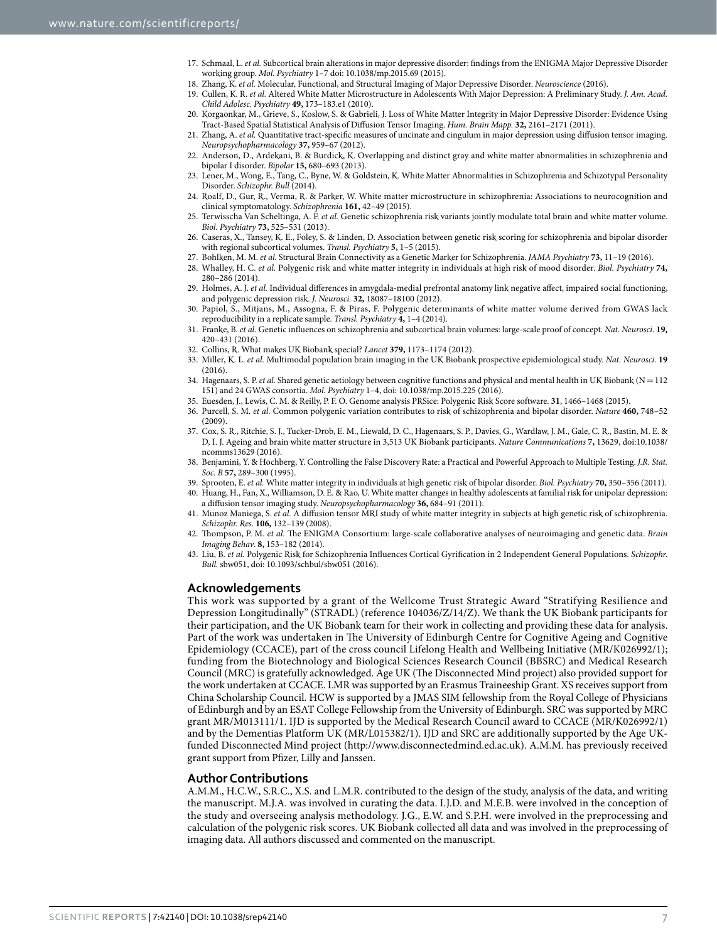- 17. Schmaal, L. *et al.* Subcortical brain alterations in major depressive disorder: findings from the ENIGMA Major Depressive Disorder working group. *Mol. Psychiatry* 1–7 doi: 10.1038/mp.2015.69 (2015).
- 18. Zhang, K. *et al.* Molecular, Functional, and Structural Imaging of Major Depressive Disorder. *Neuroscience* (2016).
- <span id="page-7-0"></span>19. Cullen, K. R. *et al.* Altered White Matter Microstructure in Adolescents With Major Depression: A Preliminary Study. *J. Am. Acad. Child Adolesc. Psychiatry* **49,** 173–183.e1 (2010).
- 20. Korgaonkar, M., Grieve, S., Koslow, S. & Gabrieli, J. Loss of White Matter Integrity in Major Depressive Disorder: Evidence Using Tract-Based Spatial Statistical Analysis of Diffusion Tensor Imaging. *Hum. Brain Mapp.* **32,** 2161–2171 (2011).
- 21. Zhang, A. *et al.* Quantitative tract-specific measures of uncinate and cingulum in major depression using diffusion tensor imaging. *Neuropsychopharmacology* **37,** 959–67 (2012).
- 22. Anderson, D., Ardekani, B. & Burdick, K. Overlapping and distinct gray and white matter abnormalities in schizophrenia and bipolar I disorder. *Bipolar* **15,** 680–693 (2013).
- 23. Lener, M., Wong, E., Tang, C., Byne, W. & Goldstein, K. White Matter Abnormalities in Schizophrenia and Schizotypal Personality Disorder. *Schizophr. Bull* (2014).
- 24. Roalf, D., Gur, R., Verma, R. & Parker, W. White matter microstructure in schizophrenia: Associations to neurocognition and clinical symptomatology. *Schizophrenia* **161,** 42–49 (2015).
- <span id="page-7-1"></span>25. Terwisscha Van Scheltinga, A. F. *et al.* Genetic schizophrenia risk variants jointly modulate total brain and white matter volume. *Biol. Psychiatry* **73,** 525–531 (2013).
- <span id="page-7-2"></span>26. Caseras, X., Tansey, K. E., Foley, S. & Linden, D. Association between genetic risk scoring for schizophrenia and bipolar disorder with regional subcortical volumes. *Transl. Psychiatry* **5,** 1–5 (2015).
- <span id="page-7-3"></span>27. Bohlken, M. M. *et al.* Structural Brain Connectivity as a Genetic Marker for Schizophrenia. *JAMA Psychiatry* **73,** 11–19 (2016).
- <span id="page-7-4"></span>28. Whalley, H. C. *et al.* Polygenic risk and white matter integrity in individuals at high risk of mood disorder. *Biol. Psychiatry* **74,** 280–286 (2014).
- <span id="page-7-5"></span>29. Holmes, A. J. *et al.* Individual differences in amygdala-medial prefrontal anatomy link negative affect, impaired social functioning, and polygenic depression risk. *J. Neurosci.* **32,** 18087–18100 (2012).
- <span id="page-7-7"></span>30. Papiol, S., Mitjans, M., Assogna, F. & Piras, F. Polygenic determinants of white matter volume derived from GWAS lack reproducibility in a replicate sample. *Transl. Psychiatry* **4,** 1–4 (2014).
- <span id="page-7-6"></span>31. Franke, B. *et al.* Genetic influences on schizophrenia and subcortical brain volumes: large-scale proof of concept. *Nat. Neurosci.* **19,** 420–431 (2016).
- <span id="page-7-8"></span>32. Collins, R. What makes UK Biobank special? *Lancet* **379,** 1173–1174 (2012).
- <span id="page-7-9"></span>33. Miller, K. L. *et al.* Multimodal population brain imaging in the UK Biobank prospective epidemiological study. *Nat. Neurosci.* **19** (2016).
- <span id="page-7-10"></span>34. Hagenaars, S. P. *et al.* Shared genetic aetiology between cognitive functions and physical and mental health in UK Biobank (N=112 151) and 24 GWAS consortia. *Mol. Psychiatry* 1–4, doi: 10.1038/mp.2015.225 (2016).
- <span id="page-7-11"></span>35. Euesden, J., Lewis, C. M. & Reilly, P. F. O. Genome analysis PRSice: Polygenic Risk Score software. **31**, 1466–1468 (2015).
- <span id="page-7-12"></span>36. Purcell, S. M. *et al.* Common polygenic variation contributes to risk of schizophrenia and bipolar disorder. *Nature* **460,** 748–52  $(2009)$
- <span id="page-7-13"></span>37. Cox, S. R., Ritchie, S. J., Tucker-Drob, E. M., Liewald, D. C., Hagenaars, S. P., Davies, G., Wardlaw, J. M., Gale, C. R., Bastin, M. E. & D, I. J. Ageing and brain white matter structure in 3,513 UK Biobank participants. *Nature Communications* **7,** 13629, doi:10.1038/ ncomms13629 (2016).
- <span id="page-7-14"></span>38. Benjamini, Y. & Hochberg, Y. Controlling the False Discovery Rate: a Practical and Powerful Approach to Multiple Testing. *J.R. Stat. Soc. B* **57,** 289–300 (1995).
- <span id="page-7-15"></span>39. Sprooten, E. *et al.* White matter integrity in individuals at high genetic risk of bipolar disorder. *Biol. Psychiatry* **70,** 350–356 (2011).
- 40. Huang, H., Fan, X., Williamson, D. E. & Rao, U. White matter changes in healthy adolescents at familial risk for unipolar depression: a diffusion tensor imaging study. *Neuropsychopharmacology* **36,** 684–91 (2011).
- 41. Munoz Maniega, S. *et al.* A diffusion tensor MRI study of white matter integrity in subjects at high genetic risk of schizophrenia. *Schizophr. Res.* **106,** 132–139 (2008).
- <span id="page-7-16"></span>42. Thompson, P. M. *et al.* The ENIGMA Consortium: large-scale collaborative analyses of neuroimaging and genetic data. *Brain Imaging Behav*. **8,** 153–182 (2014).
- <span id="page-7-17"></span>43. Liu, B. *et al.* Polygenic Risk for Schizophrenia Influences Cortical Gyrification in 2 Independent General Populations. *Schizophr. Bull.* sbw051, doi: 10.1093/schbul/sbw051 (2016).

## **Acknowledgements**

This work was supported by a grant of the Wellcome Trust Strategic Award "Stratifying Resilience and Depression Longitudinally" (STRADL) (reference 104036/Z/14/Z). We thank the UK Biobank participants for their participation, and the UK Biobank team for their work in collecting and providing these data for analysis. Part of the work was undertaken in The University of Edinburgh Centre for Cognitive Ageing and Cognitive Epidemiology (CCACE), part of the cross council Lifelong Health and Wellbeing Initiative (MR/K026992/1); funding from the Biotechnology and Biological Sciences Research Council (BBSRC) and Medical Research Council (MRC) is gratefully acknowledged. Age UK (The Disconnected Mind project) also provided support for the work undertaken at CCACE. LMR was supported by an Erasmus Traineeship Grant. XS receives support from China Scholarship Council. HCW is supported by a JMAS SIM fellowship from the Royal College of Physicians of Edinburgh and by an ESAT College Fellowship from the University of Edinburgh. SRC was supported by MRC grant MR/M013111/1. IJD is supported by the Medical Research Council award to CCACE (MR/K026992/1) and by the Dementias Platform UK (MR/L015382/1). IJD and SRC are additionally supported by the Age UKfunded Disconnected Mind project (<http://www.disconnectedmind.ed.ac.uk>). A.M.M. has previously received grant support from Pfizer, Lilly and Janssen.

## **Author Contributions**

A.M.M., H.C.W., S.R.C., X.S. and L.M.R. contributed to the design of the study, analysis of the data, and writing the manuscript. M.J.A. was involved in curating the data. I.J.D. and M.E.B. were involved in the conception of the study and overseeing analysis methodology. J.G., E.W. and S.P.H. were involved in the preprocessing and calculation of the polygenic risk scores. UK Biobank collected all data and was involved in the preprocessing of imaging data. All authors discussed and commented on the manuscript.